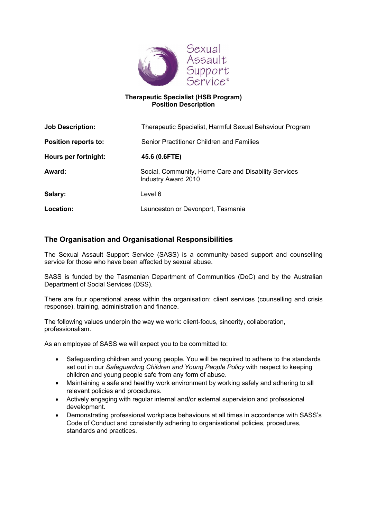

#### Therapeutic Specialist (HSB Program) Position Description

| <b>Job Description:</b> | Therapeutic Specialist, Harmful Sexual Behaviour Program                    |
|-------------------------|-----------------------------------------------------------------------------|
| Position reports to:    | Senior Practitioner Children and Families                                   |
| Hours per fortnight:    | 45.6 (0.6FTE)                                                               |
| Award:                  | Social, Community, Home Care and Disability Services<br>Industry Award 2010 |
| Salary:                 | Level 6                                                                     |
| Location:               | Launceston or Devonport, Tasmania                                           |

# The Organisation and Organisational Responsibilities

The Sexual Assault Support Service (SASS) is a community-based support and counselling service for those who have been affected by sexual abuse.

SASS is funded by the Tasmanian Department of Communities (DoC) and by the Australian Department of Social Services (DSS).

There are four operational areas within the organisation: client services (counselling and crisis response), training, administration and finance.

The following values underpin the way we work: client-focus, sincerity, collaboration, professionalism.

As an employee of SASS we will expect you to be committed to:

- Safeguarding children and young people. You will be required to adhere to the standards set out in our Safeguarding Children and Young People Policy with respect to keeping children and young people safe from any form of abuse.
- Maintaining a safe and healthy work environment by working safely and adhering to all relevant policies and procedures.
- Actively engaging with regular internal and/or external supervision and professional development.
- Demonstrating professional workplace behaviours at all times in accordance with SASS's Code of Conduct and consistently adhering to organisational policies, procedures, standards and practices.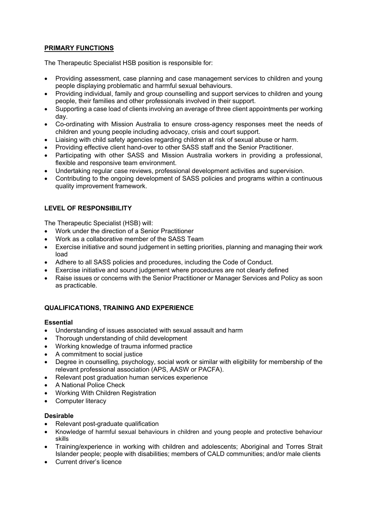## PRIMARY FUNCTIONS

The Therapeutic Specialist HSB position is responsible for:

- Providing assessment, case planning and case management services to children and young people displaying problematic and harmful sexual behaviours.
- Providing individual, family and group counselling and support services to children and young people, their families and other professionals involved in their support.
- Supporting a case load of clients involving an average of three client appointments per working day.
- Co-ordinating with Mission Australia to ensure cross-agency responses meet the needs of children and young people including advocacy, crisis and court support.
- Liaising with child safety agencies regarding children at risk of sexual abuse or harm.
- Providing effective client hand-over to other SASS staff and the Senior Practitioner.
- Participating with other SASS and Mission Australia workers in providing a professional, flexible and responsive team environment.
- Undertaking regular case reviews, professional development activities and supervision.
- Contributing to the ongoing development of SASS policies and programs within a continuous quality improvement framework.

## LEVEL OF RESPONSIBILITY

The Therapeutic Specialist (HSB) will:

- Work under the direction of a Senior Practitioner
- Work as a collaborative member of the SASS Team
- Exercise initiative and sound judgement in setting priorities, planning and managing their work load
- Adhere to all SASS policies and procedures, including the Code of Conduct.
- Exercise initiative and sound judgement where procedures are not clearly defined
- Raise issues or concerns with the Senior Practitioner or Manager Services and Policy as soon as practicable.

## QUALIFICATIONS, TRAINING AND EXPERIENCE

#### Essential

- Understanding of issues associated with sexual assault and harm
- Thorough understanding of child development
- Working knowledge of trauma informed practice
- A commitment to social justice
- Degree in counselling, psychology, social work or similar with eligibility for membership of the relevant professional association (APS, AASW or PACFA).
- Relevant post graduation human services experience
- A National Police Check
- Working With Children Registration
- Computer literacy

#### Desirable

- Relevant post-graduate qualification
- Knowledge of harmful sexual behaviours in children and young people and protective behaviour skills
- Training/experience in working with children and adolescents; Aboriginal and Torres Strait Islander people; people with disabilities; members of CALD communities; and/or male clients
- Current driver's licence